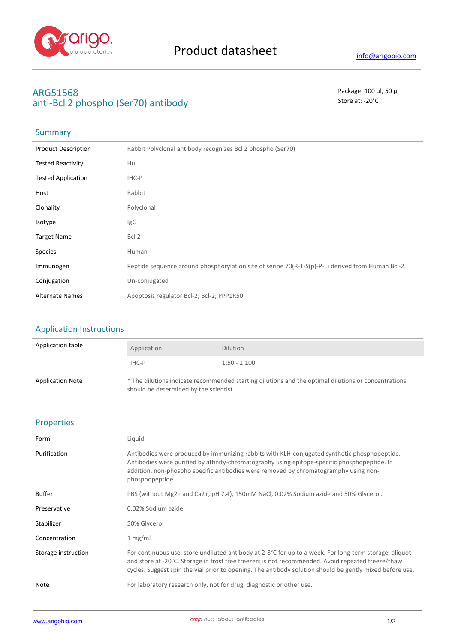

# **ARG51568** Package: 100 μl, 50 μl anti-Bcl 2 phospho (Ser70) antibody and state at the state at  $\sim$  20°C

# Summary

| <b>Product Description</b> | Rabbit Polyclonal antibody recognizes Bcl 2 phospho (Ser70)                                       |
|----------------------------|---------------------------------------------------------------------------------------------------|
| <b>Tested Reactivity</b>   | Hu                                                                                                |
| <b>Tested Application</b>  | IHC-P                                                                                             |
| Host                       | Rabbit                                                                                            |
| Clonality                  | Polyclonal                                                                                        |
| Isotype                    | IgG                                                                                               |
| <b>Target Name</b>         | Bcl 2                                                                                             |
| <b>Species</b>             | Human                                                                                             |
| Immunogen                  | Peptide sequence around phosphorylation site of serine 70(R-T-S(p)-P-L) derived from Human Bcl-2. |
| Conjugation                | Un-conjugated                                                                                     |
| <b>Alternate Names</b>     | Apoptosis regulator Bcl-2; Bcl-2; PPP1R50                                                         |

### Application Instructions

| Application table       | Application                            | <b>Dilution</b>                                                                                     |
|-------------------------|----------------------------------------|-----------------------------------------------------------------------------------------------------|
|                         | IHC-P                                  | $1:50 - 1:100$                                                                                      |
| <b>Application Note</b> | should be determined by the scientist. | * The dilutions indicate recommended starting dilutions and the optimal dilutions or concentrations |

### Properties

| Form                | Liquid                                                                                                                                                                                                                                                                                                                  |
|---------------------|-------------------------------------------------------------------------------------------------------------------------------------------------------------------------------------------------------------------------------------------------------------------------------------------------------------------------|
| Purification        | Antibodies were produced by immunizing rabbits with KLH-conjugated synthetic phosphopeptide.<br>Antibodies were purified by affinity-chromatography using epitope-specific phosphopeptide. In<br>addition, non-phospho specific antibodies were removed by chromatogramphy using non-<br>phosphopeptide.                |
| Buffer              | PBS (without Mg2+ and Ca2+, pH 7.4), 150mM NaCl, 0.02% Sodium azide and 50% Glycerol.                                                                                                                                                                                                                                   |
| Preservative        | 0.02% Sodium azide                                                                                                                                                                                                                                                                                                      |
| Stabilizer          | 50% Glycerol                                                                                                                                                                                                                                                                                                            |
| Concentration       | 1 mg/ml                                                                                                                                                                                                                                                                                                                 |
| Storage instruction | For continuous use, store undiluted antibody at 2-8°C for up to a week. For long-term storage, aliquot<br>and store at -20°C. Storage in frost free freezers is not recommended. Avoid repeated freeze/thaw<br>cycles. Suggest spin the vial prior to opening. The antibody solution should be gently mixed before use. |
| Note                | For laboratory research only, not for drug, diagnostic or other use.                                                                                                                                                                                                                                                    |